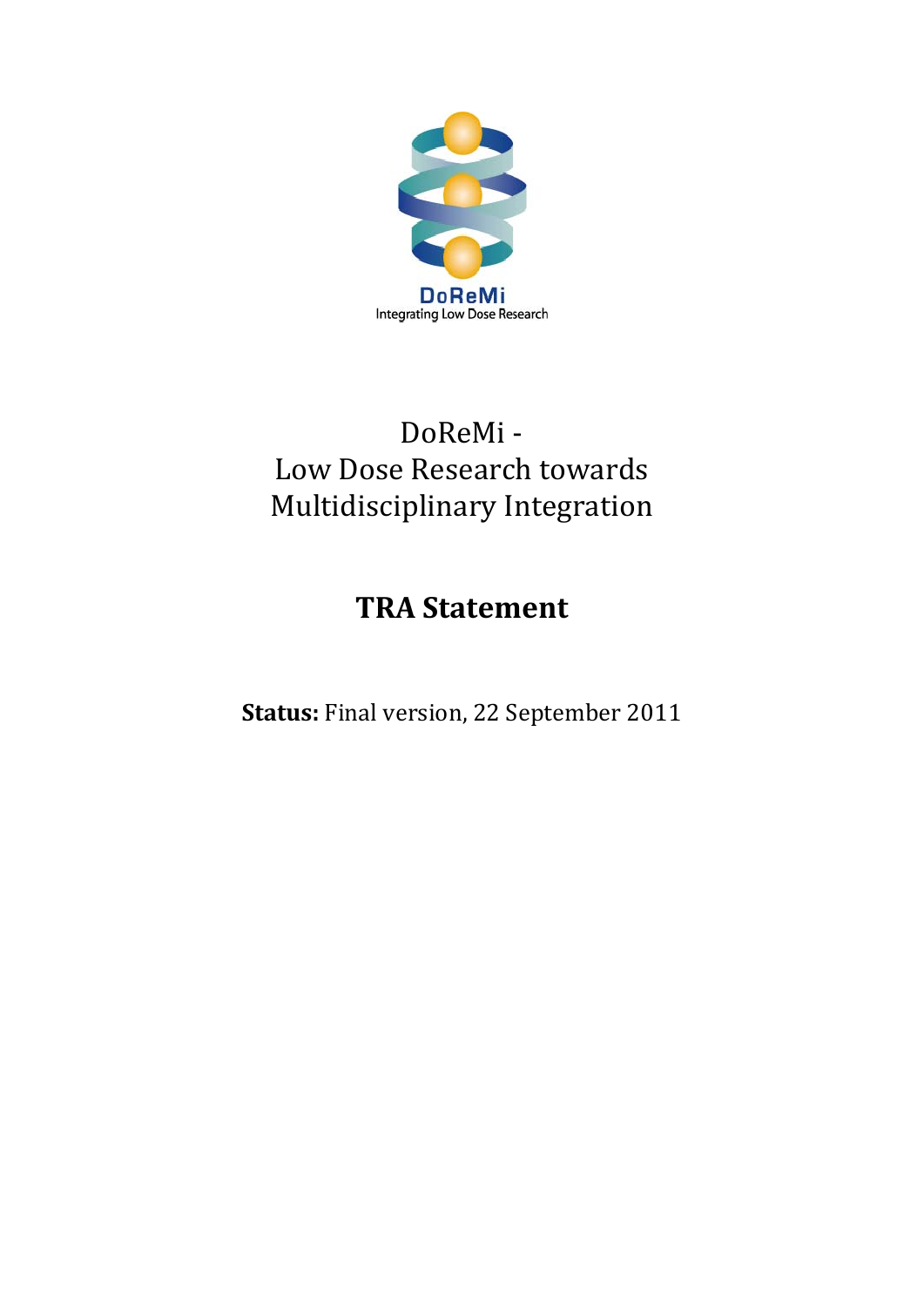

### DoReMi ‐ Low Dose Research towards Multidisciplinary Integration

### **TRA Statement**

**Status:** Final version, 22 September 2011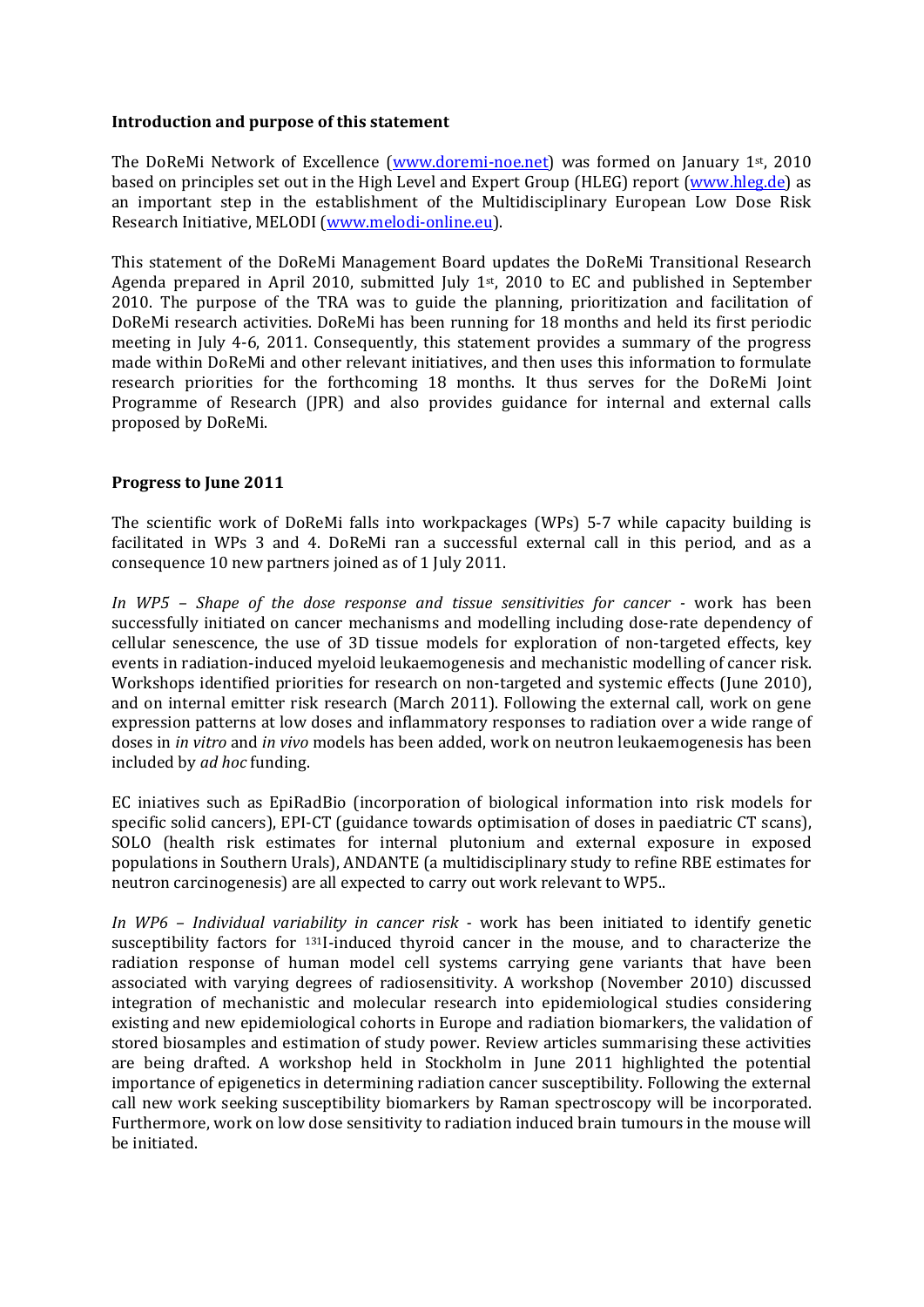#### **Introduction and purpose of this statement**

The DoReMi Network of Excellence (www.doremi-noe.net) was formed on January 1<sup>st</sup>, 2010 based on principles set out in the High Level and Expert Group (HLEG) report (www.hleg.de) as an important step in the establishment of the Multidisciplinary European Low Dose Risk Research Initiative, MELODI (www.melodi‐online.eu).

This statement of the DoReMi Management Board updates the DoReMi Transitional Research Agenda prepared in April 2010, submitted Iuly  $1<sup>st</sup>$ , 2010 to EC and published in September 2010. The purpose of the TRA was to guide the planning, prioritization and facilitation of DoReMi research activities. DoReMi has been running for 18 months and held its first periodic meeting in July 4-6, 2011. Consequently, this statement provides a summary of the progress made within DoReMi and other relevant initiatives, and then uses this information to formulate research priorities for the forthcoming 18 months. It thus serves for the DoReMi Joint Programme of Research (JPR) and also provides guidance for internal and external calls proposed by DoReMi.

#### **Progress to June 2011**

The scientific work of DoReMi falls into workpackages (WPs) 5-7 while capacity building is facilitated in WPs 3 and 4. DoReMi ran a successful external call in this period, and as a consequence 10 new partners joined as of 1 July 2011.

*In WP5 – Shape of the dose response and tissue sensitivities for cancer*  work has been successfully initiated on cancer mechanisms and modelling including dose‐rate dependency of cellular senescence, the use of 3D tissue models for exploration of non-targeted effects, key events in radiation‐induced myeloid leukaemogenesis and mechanistic modelling of cancer risk. Workshops identified priorities for research on non-targeted and systemic effects (June 2010), and on internal emitter risk research (March 2011). Following the external call, work on gene expression patterns at low doses and inflammatory responses to radiation over a wide range of doses in *in vitro* and *in vivo* models has been added, work on neutron leukaemogenesis has been included by *ad hoc* funding.

EC iniatives such as EpiRadBio (incorporation of biological information into risk models for specific solid cancers), EPI-CT (guidance towards optimisation of doses in paediatric CT scans), SOLO (health risk estimates for internal plutonium and external exposure in exposed populations in Southern Urals), ANDANTE (a multidisciplinary study to refine RBE estimates for neutron carcinogenesis) are all expected to carry out work relevant to WP5..

*In WP6 – Individual variability in cancer risk*  work has been initiated to identify genetic susceptibility factors for <sup>131</sup>I-induced thyroid cancer in the mouse, and to characterize the radiation response of human model cell systems carrying gene variants that have been associated with varying degrees of radiosensitivity. A workshop (November 2010) discussed integration of mechanistic and molecular research into epidemiological studies considering existing and new epidemiological cohorts in Europe and radiation biomarkers, the validation of stored biosamples and estimation of study power. Review articles summarising these activities are being drafted. A workshop held in Stockholm in June 2011 highlighted the potential importance of epigenetics in determining radiation cancer susceptibility. Following the external call new work seeking susceptibility biomarkers by Raman spectroscopy will be incorporated. Furthermore, work on low dose sensitivity to radiation induced brain tumours in the mouse will be initiated.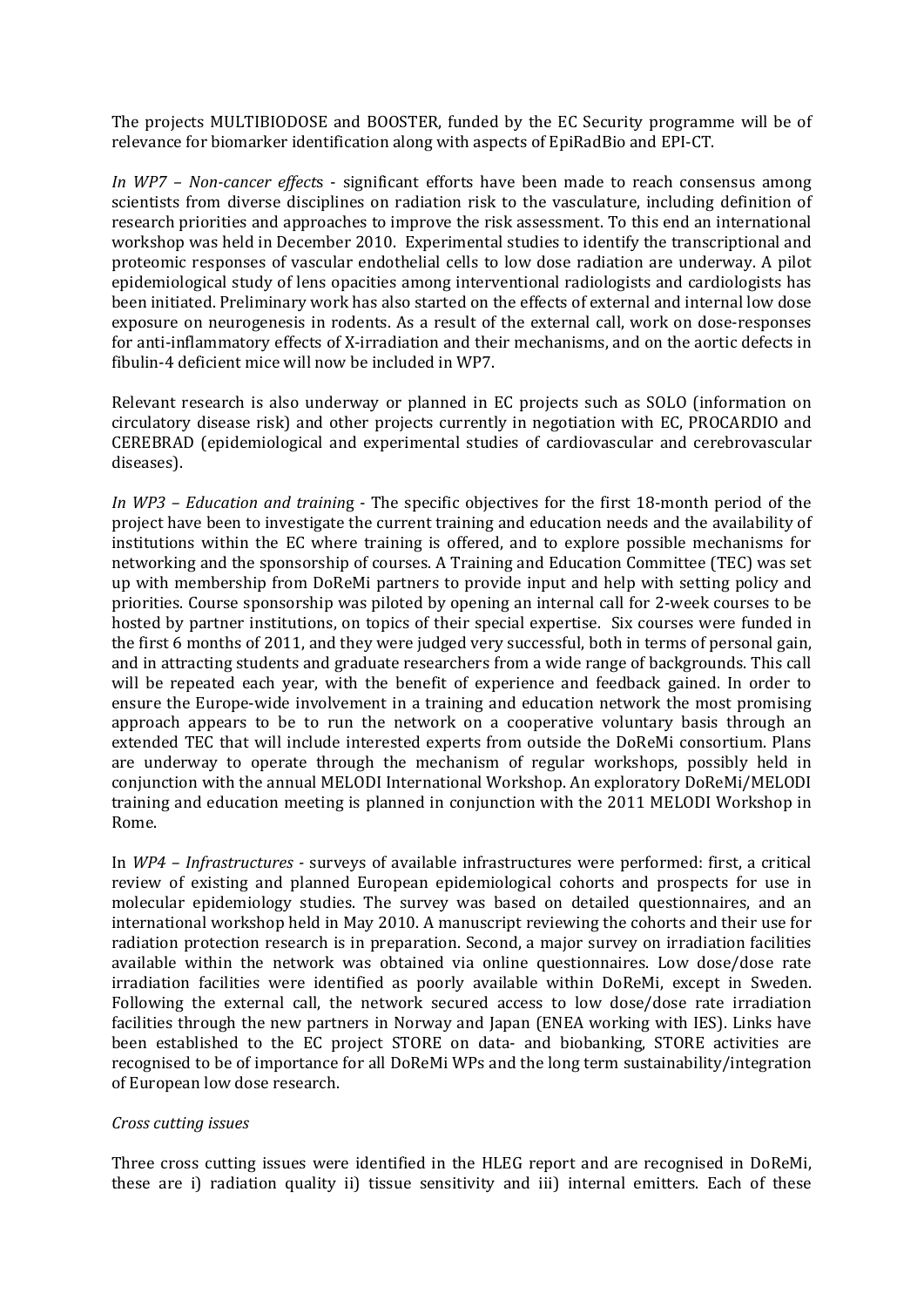The projects MULTIBIODOSE and BOOSTER, funded by the EC Security programme will be of relevance for biomarker identification along with aspects of EpiRadBio and EPI‐CT.

*In WP7 – Noncancer effect*s ‐ significant efforts have been made to reach consensus among scientists from diverse disciplines on radiation risk to the vasculature, including definition of research priorities and approaches to improve the risk assessment. To this end an international workshop was held in December 2010. Experimental studies to identify the transcriptional and proteomic responses of vascular endothelial cells to low dose radiation are underway. A pilot epidemiological study of lens opacities among interventional radiologists and cardiologists has been initiated. Preliminary work has also started on the effects of external and internal low dose exposure on neurogenesis in rodents. As a result of the external call, work on dose-responses for anti-inflammatory effects of X-irradiation and their mechanisms, and on the aortic defects in fibulin‐4 deficient mice will now be included in WP7.

Relevant research is also underway or planned in EC projects such as SOLO (information on circulatory disease risk) and other projects currently in negotiation with EC, PROCARDIO and CEREBRAD (epidemiological and experimental studies of cardiovascular and cerebrovascular diseases).

*In WP3 – Education and trainin*g ‐ The specific objectives for the first 18‐month period of the project have been to investigate the current training and education needs and the availability of institutions within the EC where training is offered, and to explore possible mechanisms for networking and the sponsorship of courses. A Training and Education Committee (TEC) was set up with membership from DoReMi partners to provide input and help with setting policy and priorities. Course sponsorship was piloted by opening an internal call for 2‐week courses to be hosted by partner institutions, on topics of their special expertise. Six courses were funded in the first 6 months of 2011, and they were judged very successful, both in terms of personal gain, and in attracting students and graduate researchers from a wide range of backgrounds. This call will be repeated each year, with the benefit of experience and feedback gained. In order to ensure the Europe-wide involvement in a training and education network the most promising approach appears to be to run the network on a cooperative voluntary basis through an extended TEC that will include interested experts from outside the DoReMi consortium. Plans are underway to operate through the mechanism of regular workshops, possibly held in conjunction with the annual MELODI International Workshop. An exploratory DoReMi/MELODI training and education meeting is planned in conjunction with the 2011 MELODI Workshop in Rome.

In *WP4 – Infrastructures*  surveys of available infrastructures were performed: first, a critical review of existing and planned European epidemiological cohorts and prospects for use in molecular epidemiology studies. The survey was based on detailed questionnaires, and an international workshop held in May 2010. A manuscript reviewing the cohorts and their use for radiation protection research is in preparation. Second, a major survey on irradiation facilities available within the network was obtained via online questionnaires. Low dose/dose rate irradiation facilities were identified as poorly available within DoReMi, except in Sweden. Following the external call, the network secured access to low dose/dose rate irradiation facilities through the new partners in Norway and Japan (ENEA working with IES). Links have been established to the EC project STORE on data- and biobanking, STORE activities are recognised to be of importance for all DoReMi WPs and the long term sustainability/integration of European low dose research.

#### *Cross cutting issues*

Three cross cutting issues were identified in the HLEG report and are recognised in DoReMi, these are i) radiation quality ii) tissue sensitivity and iii) internal emitters. Each of these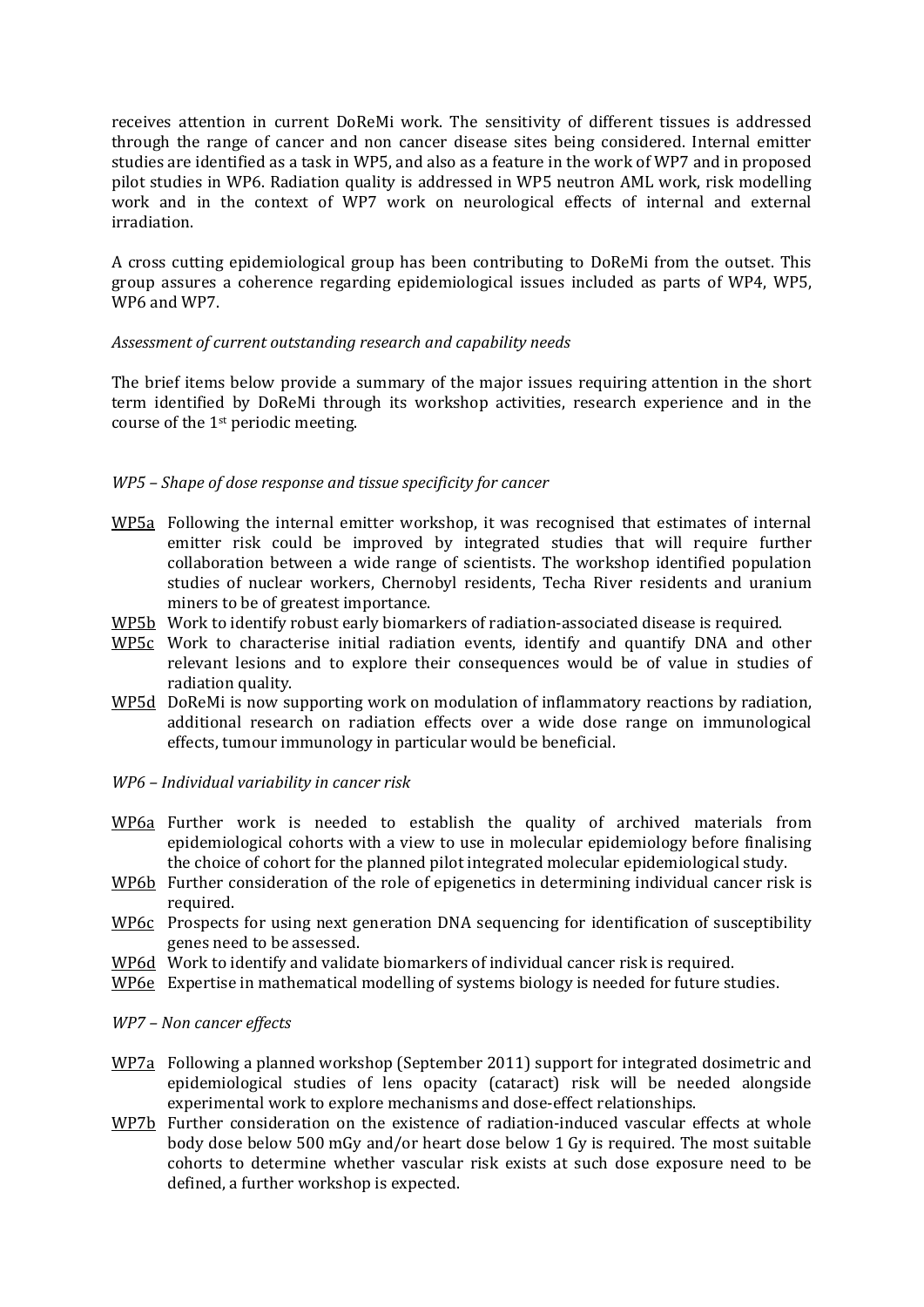receives attention in current DoReMi work. The sensitivity of different tissues is addressed through the range of cancer and non cancer disease sites being considered. Internal emitter studies are identified as a task in WP5, and also as a feature in the work of WP7 and in proposed pilot studies in WP6. Radiation quality is addressed in WP5 neutron AML work, risk modelling work and in the context of WP7 work on neurological effects of internal and external irradiation.

A cross cutting epidemiological group has been contributing to DoReMi from the outset. This group assures a coherence regarding epidemiological issues included as parts of WP4, WP5, WP6 and WP7.

#### *Assessment of current outstanding research and capability needs*

The brief items below provide a summary of the major issues requiring attention in the short term identified by DoReMi through its workshop activities, research experience and in the course of the 1st periodic meeting.

#### *WP5 – Shape of dose response and tissue specificity for cancer*

- WP5a Following the internal emitter workshop, it was recognised that estimates of internal emitter risk could be improved by integrated studies that will require further collaboration between a wide range of scientists. The workshop identified population studies of nuclear workers, Chernobyl residents, Techa River residents and uranium miners to be of greatest importance.
- WP5b Work to identify robust early biomarkers of radiation-associated disease is required.
- WP5c Work to characterise initial radiation events, identify and quantify DNA and other relevant lesions and to explore their consequences would be of value in studies of radiation quality.
- WP5d DoReMi is now supporting work on modulation of inflammatory reactions by radiation, additional research on radiation effects over a wide dose range on immunological effects, tumour immunology in particular would be beneficial.
- *WP6 – Individual variability in cancer risk*
- WP6a Further work is needed to establish the quality of archived materials from epidemiological cohorts with a view to use in molecular epidemiology before finalising the choice of cohort for the planned pilot integrated molecular epidemiological study.
- WP6b Further consideration of the role of epigenetics in determining individual cancer risk is required.
- WP6c Prospects for using next generation DNA sequencing for identification of susceptibility genes need to be assessed.
- WP6d Work to identify and validate biomarkers of individual cancer risk is required.
- WP6e Expertise in mathematical modelling of systems biology is needed for future studies.

#### *WP7 – Non cancer effects*

- WP7a Following a planned workshop (September 2011) support for integrated dosimetric and epidemiological studies of lens opacity (cataract) risk will be needed alongside experimental work to explore mechanisms and dose-effect relationships.
- WP7b Further consideration on the existence of radiation-induced vascular effects at whole body dose below 500 mGy and/or heart dose below 1 Gy is required. The most suitable cohorts to determine whether vascular risk exists at such dose exposure need to be defined, a further workshop is expected.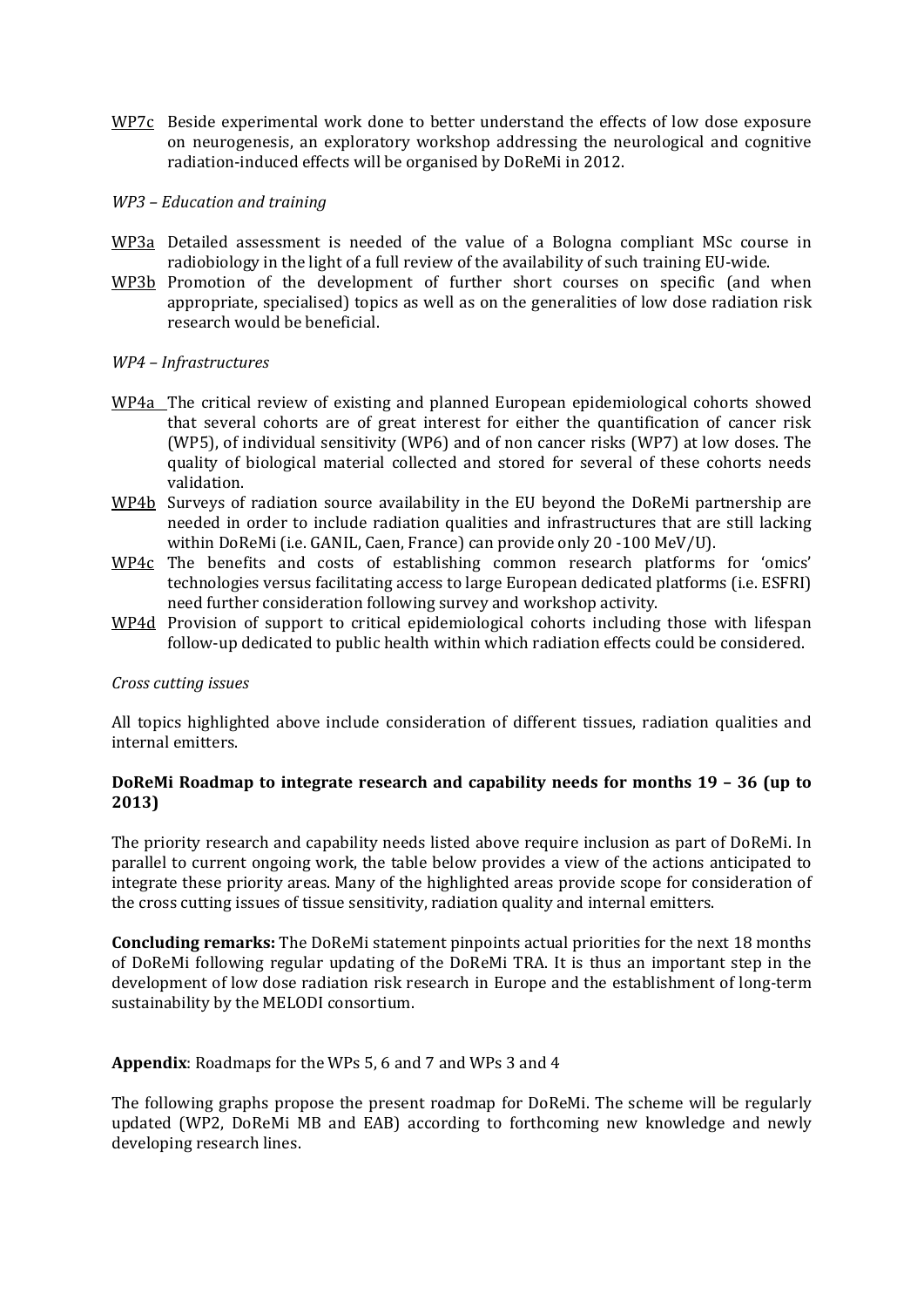- WP7c Beside experimental work done to better understand the effects of low dose exposure on neurogenesis, an exploratory workshop addressing the neurological and cognitive radiation‐induced effects will be organised by DoReMi in 2012.
- *WP3 – Education and training*
- WP3a Detailed assessment is needed of the value of a Bologna compliant MSc course in radiobiology in the light of a full review of the availability of such training EU‐wide.
- WP3b Promotion of the development of further short courses on specific (and when appropriate, specialised) topics as well as on the generalities of low dose radiation risk research would be beneficial.

#### *WP4 – Infrastructures*

- WP4a The critical review of existing and planned European epidemiological cohorts showed that several cohorts are of great interest for either the quantification of cancer risk (WP5), of individual sensitivity (WP6) and of non cancer risks (WP7) at low doses. The quality of biological material collected and stored for several of these cohorts needs validation.
- WP4b Surveys of radiation source availability in the EU beyond the DoReMi partnership are needed in order to include radiation qualities and infrastructures that are still lacking within DoReMi (i.e. GANIL, Caen, France) can provide only 20 ‐100 MeV/U).
- WP4c The benefits and costs of establishing common research platforms for 'omics' technologies versus facilitating access to large European dedicated platforms (i.e. ESFRI) need further consideration following survey and workshop activity.
- WP4d Provision of support to critical epidemiological cohorts including those with lifespan follow‐up dedicated to public health within which radiation effects could be considered.

#### *Cross cutting issues*

All topics highlighted above include consideration of different tissues, radiation qualities and internal emitters.

#### **DoReMi Roadmap to integrate research and capability needs for months 19 – 36 (up to 2013)**

The priority research and capability needs listed above require inclusion as part of DoReMi. In parallel to current ongoing work, the table below provides a view of the actions anticipated to integrate these priority areas. Many of the highlighted areas provide scope for consideration of the cross cutting issues of tissue sensitivity, radiation quality and internal emitters.

**Concluding remarks:** The DoReMi statement pinpoints actual priorities for the next 18 months of DoReMi following regular updating of the DoReMi TRA. It is thus an important step in the development of low dose radiation risk research in Europe and the establishment of long-term sustainability by the MELODI consortium.

#### **Appendix**: Roadmaps for the WPs 5, 6 and 7 and WPs 3 and 4

The following graphs propose the present roadmap for DoReMi. The scheme will be regularly updated (WP2, DoReMi MB and EAB) according to forthcoming new knowledge and newly developing research lines.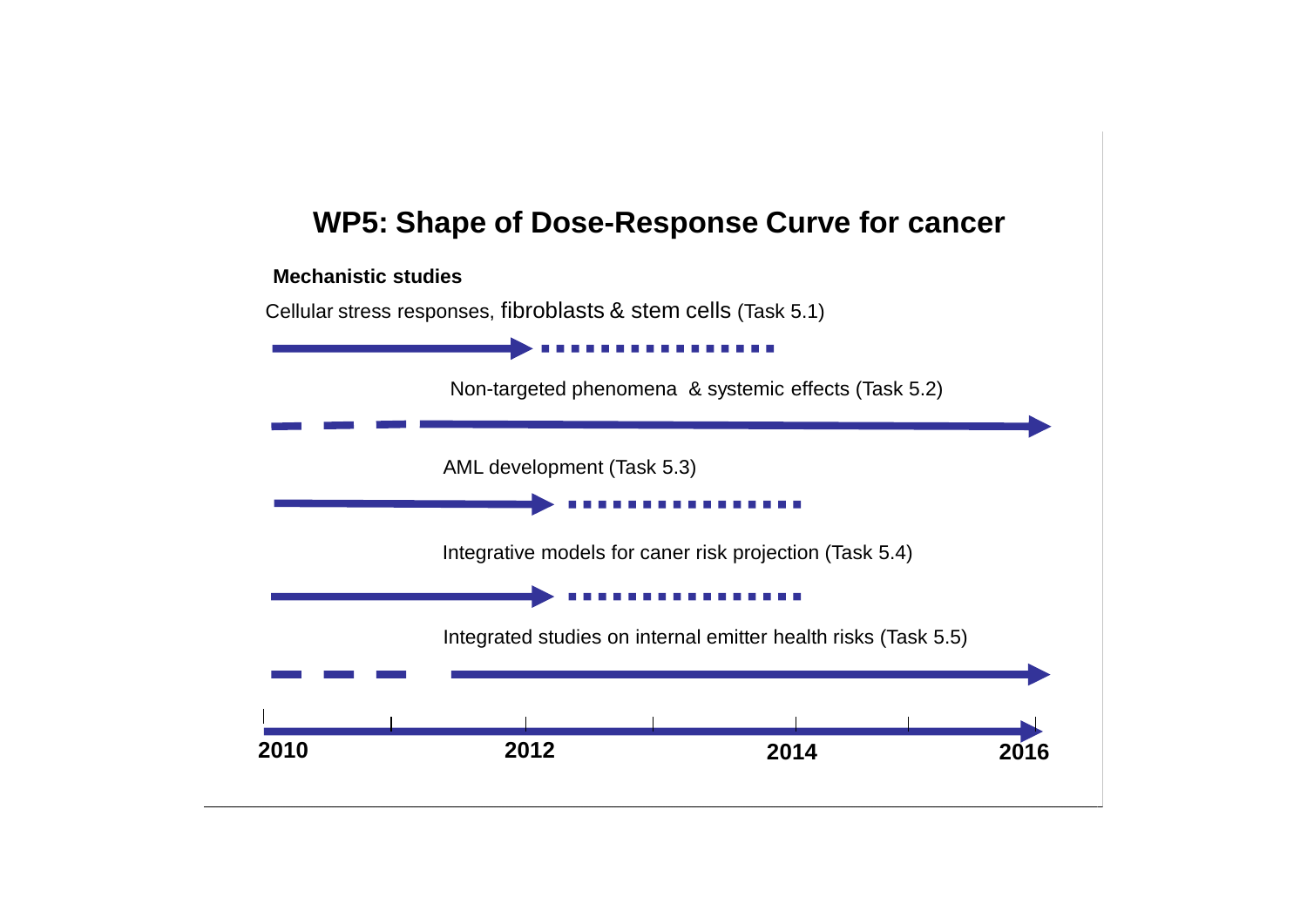### **WP5: Shape of Dose-Response Curve for cancer**

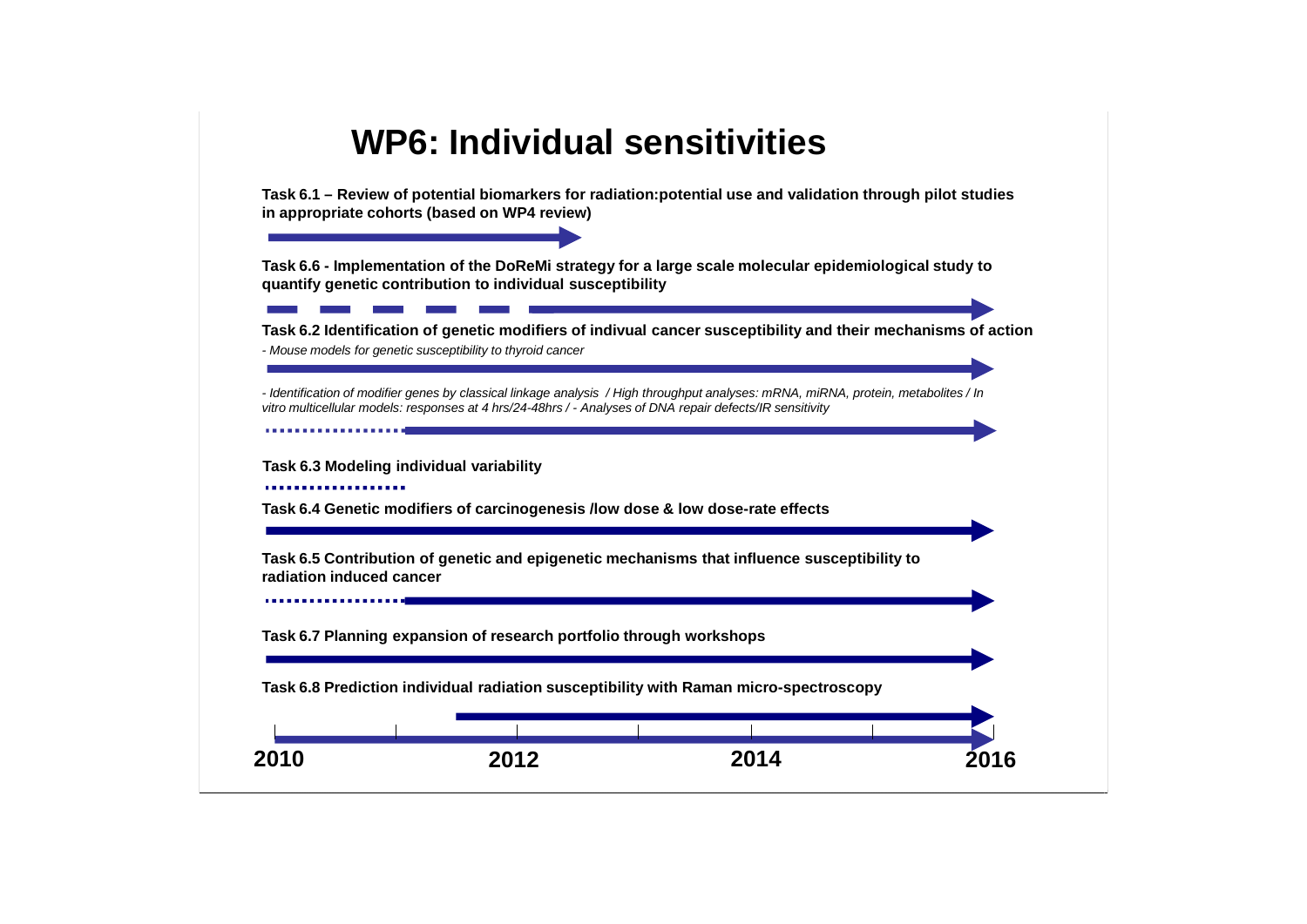## **WP6: Individual sensitivities**

**Task 6.1 – Review of potential biomarkers for radiation:potential use and validation through pilot studies in appropriate cohorts (based on WP4 review)**

**Task 6.6 - Implementation of the DoReMi strategy for a large scale molecular epidemiological study to quantify genetic contribution to individual susceptibility**

**Task 6.2 Identification of genetic modifiers of indivual cancer susceptibility and their mechanisms of action** *- Mouse models for genetic susceptibility to thyroid cancer*

*- Identification of modifier genes by classical linkage analysis / High throughput analyses: mRNA, miRNA, protein, metabolites / In vitro multicellular models: responses at 4 hrs/24-48hrs / - Analyses of DNA repair defects/IR sensitivity*

**Task 6.3 Modeling individual variability** 

**Task 6.4 Genetic modifiers of carcinogenesis /low dose & low dose-rate effects**

**Task 6.5 Contribution of genetic and epigenetic mechanisms that influence susceptibility to radiation induced cancer**

**Task 6.7 Planning expansion of research portfolio through workshops**

**Task 6.8 Prediction individual radiation susceptibility with Raman micro-spectroscopy**

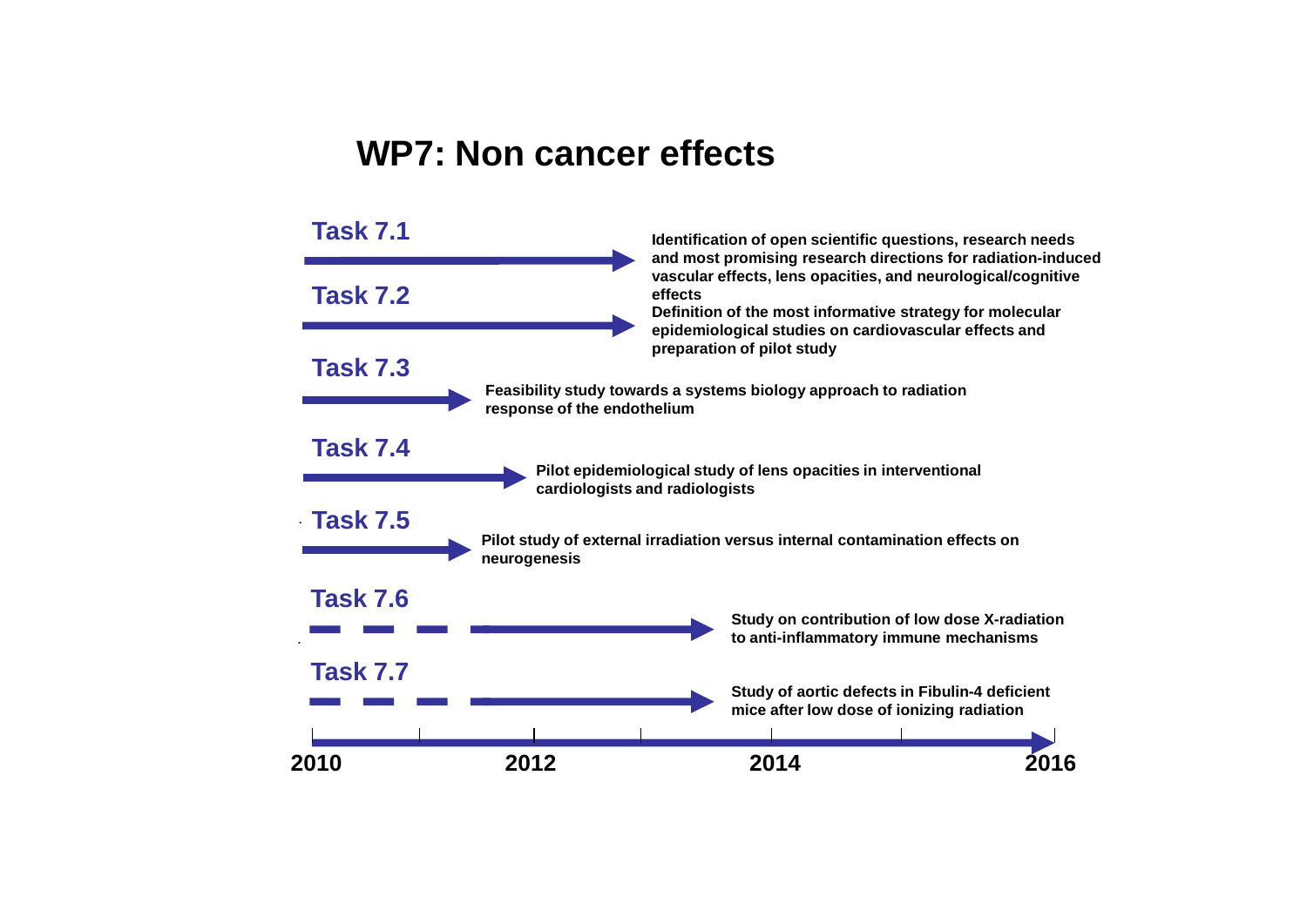### **WP7: Non cancer effects**

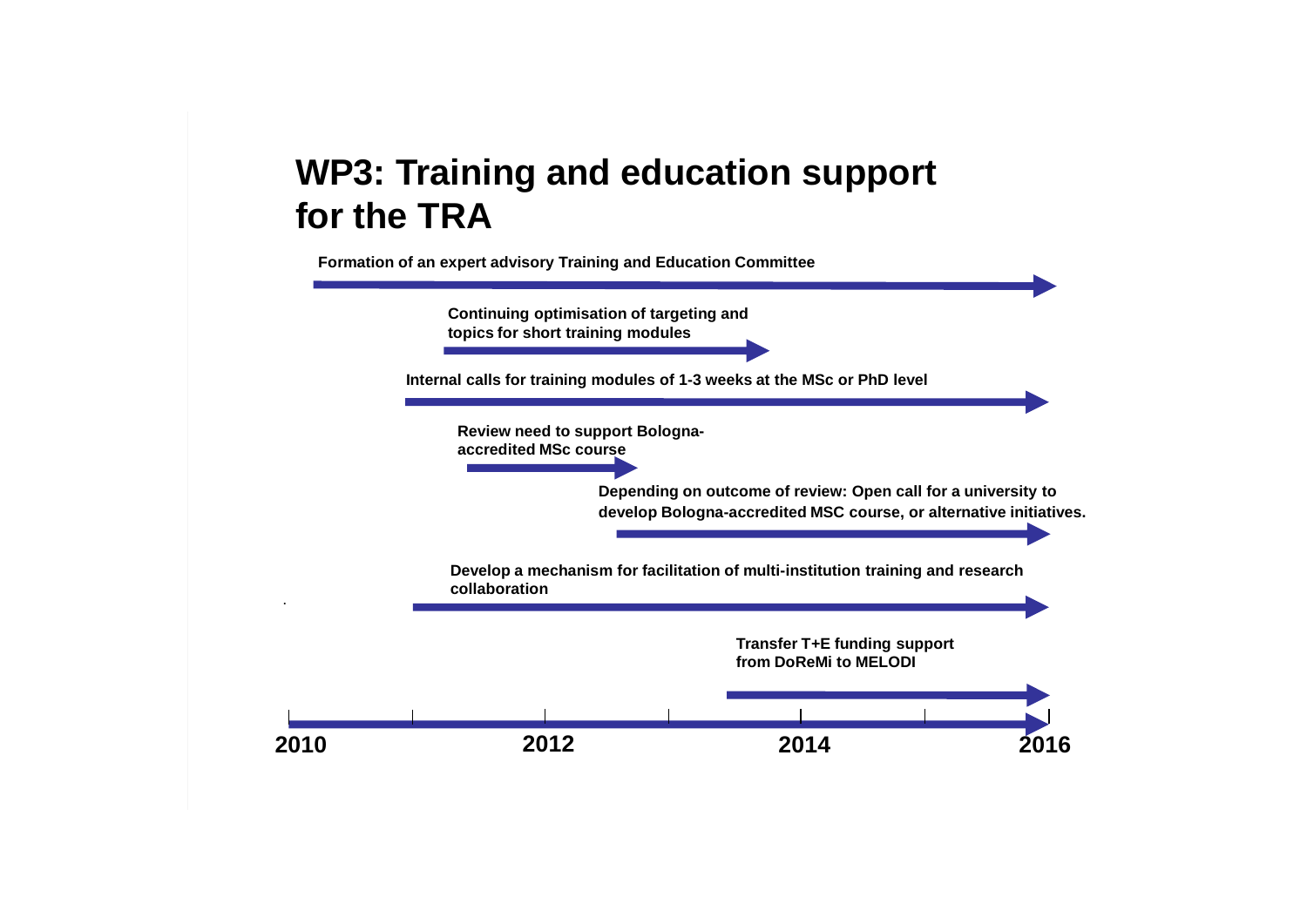# **WP3: Training and education support for the TRA**

**2010 2012 2014 2016 Depending on outcome of review: Open call for a university to develop Bologna-accredited MSC course, or alternative initiatives. Transfer T+E funding support from DoReMi to MELODI Formation of an expert advisory Training and Education Committee Internal calls for training modules of 1-3 weeks at the MSc or PhD level Develop a mechanism for facilitation of multi-institution training and research collaboration Review need to support Bolognaaccredited MSc course Continuing optimisation of targeting and topics for short training modules**